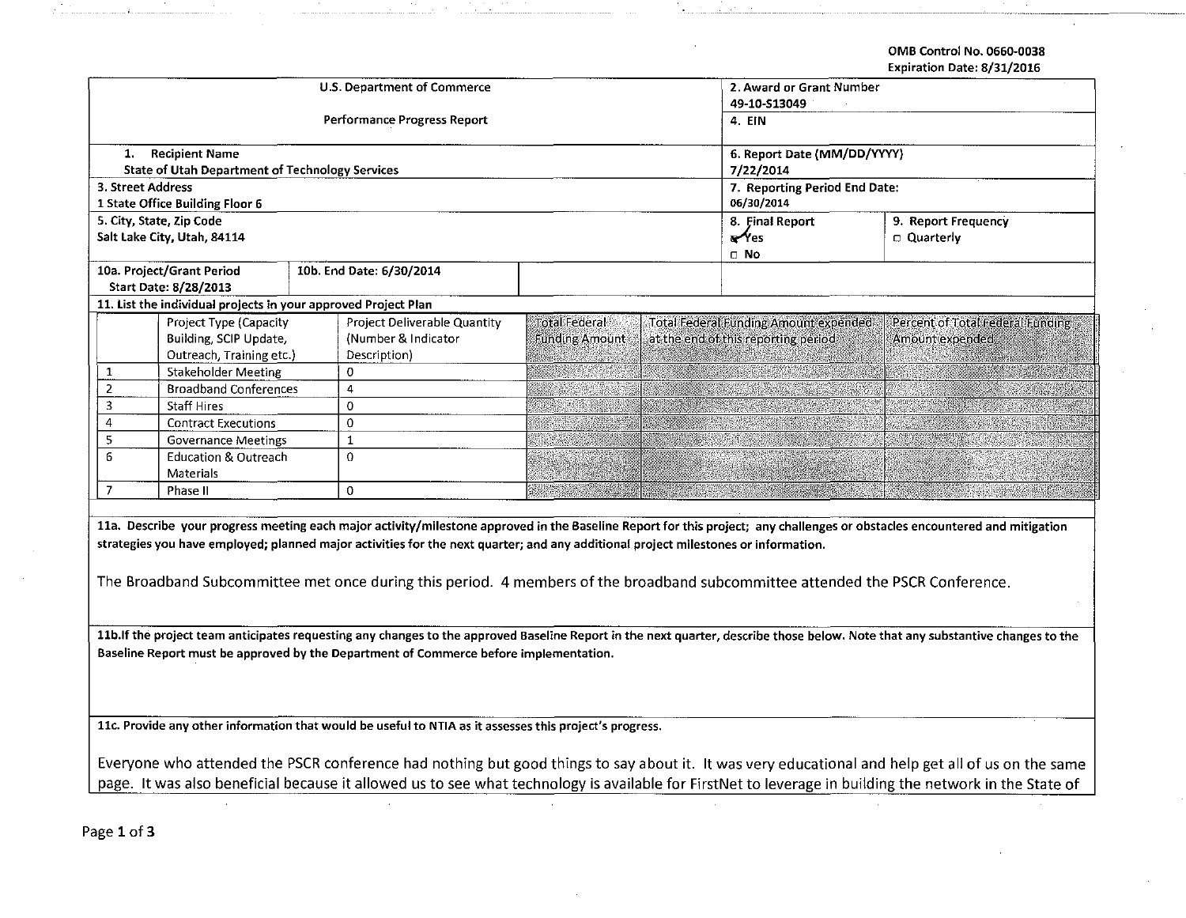**OMB Control No. 0660-0038** 

**Expiration Date: 8/31/2016** 

|                   |                                                                                          | <b>U.S. Department of Commerce</b>                                                                                                 |                             | 2. Award or Grant Number                                                            | cxpii ativii bate, o/ J1/ 2010                                                                                                                                                  |  |  |
|-------------------|------------------------------------------------------------------------------------------|------------------------------------------------------------------------------------------------------------------------------------|-----------------------------|-------------------------------------------------------------------------------------|---------------------------------------------------------------------------------------------------------------------------------------------------------------------------------|--|--|
|                   |                                                                                          |                                                                                                                                    | 49-10-S13049                |                                                                                     |                                                                                                                                                                                 |  |  |
|                   |                                                                                          | <b>Performance Progress Report</b>                                                                                                 | 4. EIN                      |                                                                                     |                                                                                                                                                                                 |  |  |
|                   |                                                                                          |                                                                                                                                    |                             |                                                                                     |                                                                                                                                                                                 |  |  |
| 1.                | <b>Recipient Name</b>                                                                    |                                                                                                                                    | 6. Report Date (MM/DD/YYYY) |                                                                                     |                                                                                                                                                                                 |  |  |
|                   | <b>State of Utah Department of Technology Services</b>                                   |                                                                                                                                    | 7/22/2014                   |                                                                                     |                                                                                                                                                                                 |  |  |
| 3. Street Address |                                                                                          |                                                                                                                                    |                             | 7. Reporting Period End Date:                                                       |                                                                                                                                                                                 |  |  |
|                   | 1 State Office Building Floor 6                                                          |                                                                                                                                    | 06/30/2014                  |                                                                                     |                                                                                                                                                                                 |  |  |
|                   | 5. City, State, Zip Code                                                                 |                                                                                                                                    |                             | 8. Final Report                                                                     | 9. Report Frequency                                                                                                                                                             |  |  |
|                   | Salt Lake City, Utah, 84114                                                              |                                                                                                                                    |                             | $\mathcal{N}_{\text{es}}$                                                           | □ Quarterly                                                                                                                                                                     |  |  |
|                   |                                                                                          |                                                                                                                                    |                             | $\Box$ No                                                                           |                                                                                                                                                                                 |  |  |
|                   | 10a. Project/Grant Period                                                                | 10b. End Date: 6/30/2014                                                                                                           |                             |                                                                                     |                                                                                                                                                                                 |  |  |
|                   | Start Date: 8/28/2013                                                                    |                                                                                                                                    |                             |                                                                                     |                                                                                                                                                                                 |  |  |
|                   | 11. List the individual projects in your approved Project Plan<br>Project Type (Capacity |                                                                                                                                    | <b>Total Federal</b>        |                                                                                     |                                                                                                                                                                                 |  |  |
|                   | Building, SCIP Update,                                                                   | Project Deliverable Quantity<br>(Number & Indicator)                                                                               | <b>Funding Amount</b>       | <b>Total Federal Funding Amount expended</b><br>at the end of this reporting period | Percent of Total Federal Funding<br>Amount expended                                                                                                                             |  |  |
|                   | Outreach, Training etc.)                                                                 | Description)                                                                                                                       |                             |                                                                                     |                                                                                                                                                                                 |  |  |
| 1                 | <b>Stakeholder Meeting</b>                                                               | 0                                                                                                                                  |                             |                                                                                     |                                                                                                                                                                                 |  |  |
| $\overline{2}$    | <b>Broadband Conferences</b>                                                             | 4                                                                                                                                  |                             |                                                                                     |                                                                                                                                                                                 |  |  |
| 3                 | Staff Hires                                                                              | 0                                                                                                                                  |                             |                                                                                     |                                                                                                                                                                                 |  |  |
| $\overline{4}$    | <b>Contract Executions</b>                                                               | 0                                                                                                                                  | 536.                        |                                                                                     |                                                                                                                                                                                 |  |  |
| 5                 | <b>Governance Meetings</b>                                                               | $\mathbf{1}$                                                                                                                       |                             |                                                                                     |                                                                                                                                                                                 |  |  |
| 6                 | <b>Education &amp; Outreach</b>                                                          | 0                                                                                                                                  |                             |                                                                                     |                                                                                                                                                                                 |  |  |
|                   | Materials                                                                                |                                                                                                                                    |                             |                                                                                     |                                                                                                                                                                                 |  |  |
| $\boldsymbol{7}$  | Phase II                                                                                 | 0                                                                                                                                  |                             |                                                                                     |                                                                                                                                                                                 |  |  |
|                   |                                                                                          |                                                                                                                                    |                             |                                                                                     |                                                                                                                                                                                 |  |  |
|                   |                                                                                          |                                                                                                                                    |                             |                                                                                     | 11a. Describe your progress meeting each major activity/milestone approved in the Baseline Report for this project; any challenges or obstacles encountered and mitigation      |  |  |
|                   |                                                                                          | strategies you have employed; planned major activities for the next quarter; and any additional project milestones or information. |                             |                                                                                     |                                                                                                                                                                                 |  |  |
|                   |                                                                                          |                                                                                                                                    |                             |                                                                                     |                                                                                                                                                                                 |  |  |
|                   |                                                                                          |                                                                                                                                    |                             |                                                                                     |                                                                                                                                                                                 |  |  |
|                   |                                                                                          | The Broadband Subcommittee met once during this period. 4 members of the broadband subcommittee attended the PSCR Conference.      |                             |                                                                                     |                                                                                                                                                                                 |  |  |
|                   |                                                                                          |                                                                                                                                    |                             |                                                                                     |                                                                                                                                                                                 |  |  |
|                   |                                                                                          |                                                                                                                                    |                             |                                                                                     |                                                                                                                                                                                 |  |  |
|                   |                                                                                          |                                                                                                                                    |                             |                                                                                     | 11b. If the project team anticipates requesting any changes to the approved Baseline Report in the next quarter, describe those below. Note that any substantive changes to the |  |  |
|                   |                                                                                          | Baseline Report must be approved by the Department of Commerce before implementation.                                              |                             |                                                                                     |                                                                                                                                                                                 |  |  |
|                   |                                                                                          |                                                                                                                                    |                             |                                                                                     |                                                                                                                                                                                 |  |  |
|                   |                                                                                          |                                                                                                                                    |                             |                                                                                     |                                                                                                                                                                                 |  |  |
|                   |                                                                                          |                                                                                                                                    |                             |                                                                                     |                                                                                                                                                                                 |  |  |
|                   |                                                                                          | 11c. Provide any other information that would be useful to NTIA as it assesses this project's progress.                            |                             |                                                                                     |                                                                                                                                                                                 |  |  |
|                   |                                                                                          |                                                                                                                                    |                             |                                                                                     |                                                                                                                                                                                 |  |  |
|                   |                                                                                          |                                                                                                                                    |                             |                                                                                     | Everyone who attended the PSCR conference had nothing but good things to say about it. It was very educational and help get all of us on the same                               |  |  |
|                   |                                                                                          |                                                                                                                                    |                             |                                                                                     | page. It was also beneficial because it allowed us to see what technology is available for FirstNet to leverage in building the network in the State of                         |  |  |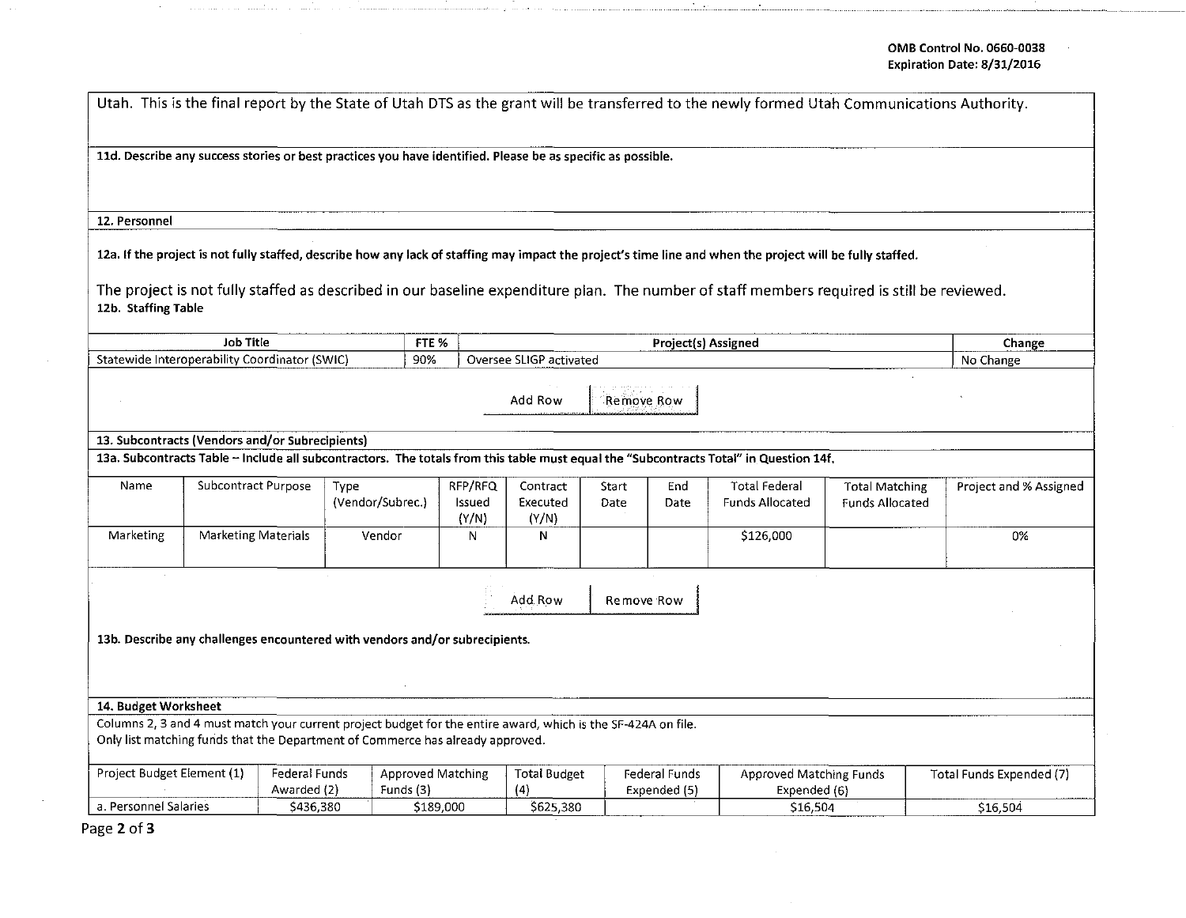|                                                                                                               |                            |           |                                       |           |                            |                               |                               |                                         | Utah. This is the final report by the State of Utah DTS as the grant will be transferred to the newly formed Utah Communications Authority.                |                                                 |                        |
|---------------------------------------------------------------------------------------------------------------|----------------------------|-----------|---------------------------------------|-----------|----------------------------|-------------------------------|-------------------------------|-----------------------------------------|------------------------------------------------------------------------------------------------------------------------------------------------------------|-------------------------------------------------|------------------------|
| 11d. Describe any success stories or best practices you have identified. Please be as specific as possible.   |                            |           |                                       |           |                            |                               |                               |                                         |                                                                                                                                                            |                                                 |                        |
| 12. Personnel                                                                                                 |                            |           |                                       |           |                            |                               |                               |                                         |                                                                                                                                                            |                                                 |                        |
|                                                                                                               |                            |           |                                       |           |                            |                               |                               |                                         | 12a. If the project is not fully staffed, describe how any lack of staffing may impact the project's time line and when the project will be fully staffed. |                                                 |                        |
| 12b. Staffing Table                                                                                           |                            |           |                                       |           |                            |                               |                               |                                         | The project is not fully staffed as described in our baseline expenditure plan. The number of staff members required is still be reviewed.                 |                                                 |                        |
|                                                                                                               | <b>Job Title</b>           |           |                                       | FTE %     |                            |                               |                               |                                         | Project(s) Assigned                                                                                                                                        |                                                 | Change                 |
| Statewide Interoperability Coordinator (SWIC)                                                                 |                            |           |                                       | 90%       |                            | Oversee SLIGP activated       |                               |                                         |                                                                                                                                                            |                                                 | No Change              |
|                                                                                                               |                            |           |                                       |           |                            | Add Row                       |                               | Remove Row                              |                                                                                                                                                            |                                                 |                        |
| 13. Subcontracts (Vendors and/or Subrecipients)                                                               |                            |           |                                       |           |                            |                               |                               |                                         |                                                                                                                                                            |                                                 |                        |
|                                                                                                               |                            |           |                                       |           |                            |                               |                               |                                         | 13a. Subcontracts Table - Include all subcontractors. The totals from this table must equal the "Subcontracts Total" in Question 14f.                      |                                                 |                        |
| Name                                                                                                          | <b>Subcontract Purpose</b> |           | Type<br>(Vendor/Subrec.)              |           | RFP/RFQ<br>Issued<br>(Y/N) | Contract<br>Executed<br>(Y/N) | Start<br>Date                 | End<br>Date                             | <b>Total Federal</b><br><b>Funds Allocated</b>                                                                                                             | <b>Total Matching</b><br><b>Funds Allocated</b> | Project and % Assigned |
| Marketing                                                                                                     | Marketing Materials        |           | Vendor                                |           | N                          | N                             |                               |                                         | \$126,000                                                                                                                                                  |                                                 | 0%                     |
|                                                                                                               |                            |           |                                       |           |                            | Add Row                       |                               | Remove Row                              |                                                                                                                                                            |                                                 |                        |
| 13b. Describe any challenges encountered with vendors and/or subrecipients.                                   |                            |           |                                       |           |                            |                               |                               |                                         |                                                                                                                                                            |                                                 |                        |
| 14. Budget Worksheet                                                                                          |                            |           |                                       |           |                            |                               |                               |                                         |                                                                                                                                                            |                                                 |                        |
| Columns 2, 3 and 4 must match your current project budget for the entire award, which is the SF-424A on file. |                            |           |                                       |           |                            |                               |                               |                                         |                                                                                                                                                            |                                                 |                        |
| Only list matching funds that the Department of Commerce has already approved.                                |                            |           |                                       |           |                            |                               |                               |                                         |                                                                                                                                                            |                                                 |                        |
| Project Budget Element (1)<br>Federal Funds<br>Awarded (2)                                                    |                            |           | <b>Approved Matching</b><br>Funds (3) |           | <b>Total Budget</b><br>(4) |                               | Federal Funds<br>Expended (5) | Approved Matching Funds<br>Expended (6) |                                                                                                                                                            | Total Funds Expended (7)                        |                        |
| a. Personnel Salaries                                                                                         |                            | \$436,380 |                                       | \$189,000 |                            | \$625,380                     |                               |                                         | \$16,504                                                                                                                                                   |                                                 | \$16,504               |

Page 2 of 3